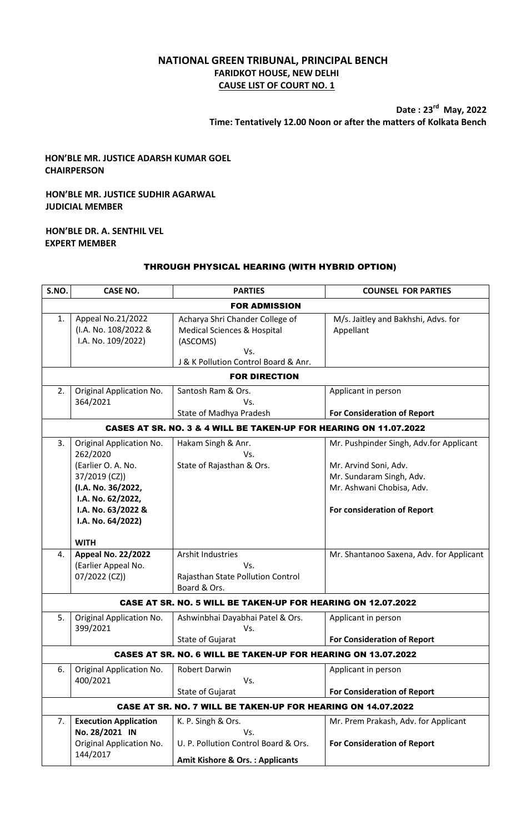# **NATIONAL GREEN TRIBUNAL, PRINCIPAL BENCH FARIDKOT HOUSE, NEW DELHI CAUSE LIST OF COURT NO. 1**

**Date : 23 rd May, 2022 Time: Tentatively 12.00 Noon or after the matters of Kolkata Bench**

## **HON'BLE MR. JUSTICE ADARSH KUMAR GOEL CHAIRPERSON**

## **HON'BLE MR. JUSTICE SUDHIR AGARWAL JUDICIAL MEMBER**

#### **HON'BLE DR. A. SENTHIL VEL EXPERT MEMBER**

### THROUGH PHYSICAL HEARING (WITH HYBRID OPTION)

| S.NO.                                                             | <b>CASE NO.</b>                                                                                                                                                   | <b>PARTIES</b>                                                                                                            | <b>COUNSEL FOR PARTIES</b>                                                                                                                               |  |  |
|-------------------------------------------------------------------|-------------------------------------------------------------------------------------------------------------------------------------------------------------------|---------------------------------------------------------------------------------------------------------------------------|----------------------------------------------------------------------------------------------------------------------------------------------------------|--|--|
|                                                                   |                                                                                                                                                                   | <b>FOR ADMISSION</b>                                                                                                      |                                                                                                                                                          |  |  |
| 1.                                                                | Appeal No.21/2022<br>(I.A. No. 108/2022 &<br>I.A. No. 109/2022)                                                                                                   | Acharya Shri Chander College of<br>Medical Sciences & Hospital<br>(ASCOMS)<br>Vs.<br>J & K Pollution Control Board & Anr. | M/s. Jaitley and Bakhshi, Advs. for<br>Appellant                                                                                                         |  |  |
| <b>FOR DIRECTION</b>                                              |                                                                                                                                                                   |                                                                                                                           |                                                                                                                                                          |  |  |
| 2.                                                                | <b>Original Application No.</b><br>364/2021                                                                                                                       | Santosh Ram & Ors.<br>Vs.<br>State of Madhya Pradesh                                                                      | Applicant in person<br><b>For Consideration of Report</b>                                                                                                |  |  |
| CASES AT SR. NO. 3 & 4 WILL BE TAKEN-UP FOR HEARING ON 11.07.2022 |                                                                                                                                                                   |                                                                                                                           |                                                                                                                                                          |  |  |
| 3.                                                                | Original Application No.<br>262/2020<br>(Earlier O. A. No.<br>37/2019 (CZ))<br>(I.A. No. 36/2022,<br>I.A. No. 62/2022,<br>I.A. No. 63/2022 &<br>I.A. No. 64/2022) | Hakam Singh & Anr.<br>Vs.<br>State of Rajasthan & Ors.                                                                    | Mr. Pushpinder Singh, Adv.for Applicant<br>Mr. Arvind Soni, Adv.<br>Mr. Sundaram Singh, Adv.<br>Mr. Ashwani Chobisa, Adv.<br>For consideration of Report |  |  |
|                                                                   | <b>WITH</b>                                                                                                                                                       |                                                                                                                           |                                                                                                                                                          |  |  |
| 4.                                                                | <b>Appeal No. 22/2022</b><br>(Earlier Appeal No.<br>07/2022 (CZ))                                                                                                 | <b>Arshit Industries</b><br>Vs.<br>Rajasthan State Pollution Control<br>Board & Ors.                                      | Mr. Shantanoo Saxena, Adv. for Applicant                                                                                                                 |  |  |
|                                                                   |                                                                                                                                                                   | <b>CASE AT SR. NO. 5 WILL BE TAKEN-UP FOR HEARING ON 12.07.2022</b>                                                       |                                                                                                                                                          |  |  |
| 5.                                                                | Original Application No.<br>399/2021                                                                                                                              | Ashwinbhai Dayabhai Patel & Ors.<br>Vs.<br><b>State of Gujarat</b>                                                        | Applicant in person<br><b>For Consideration of Report</b>                                                                                                |  |  |
|                                                                   |                                                                                                                                                                   | <b>CASES AT SR. NO. 6 WILL BE TAKEN-UP FOR HEARING ON 13.07.2022</b>                                                      |                                                                                                                                                          |  |  |
| 6.                                                                | Original Application No.<br>400/2021                                                                                                                              | <b>Robert Darwin</b><br>Vs.<br>State of Gujarat                                                                           | Applicant in person<br><b>For Consideration of Report</b>                                                                                                |  |  |
|                                                                   |                                                                                                                                                                   | <b>CASE AT SR. NO. 7 WILL BE TAKEN-UP FOR HEARING ON 14.07.2022</b>                                                       |                                                                                                                                                          |  |  |
| 7.                                                                | <b>Execution Application</b><br>No. 28/2021 IN<br>Original Application No.<br>144/2017                                                                            | K. P. Singh & Ors.<br>Vs.<br>U. P. Pollution Control Board & Ors.<br><b>Amit Kishore &amp; Ors.: Applicants</b>           | Mr. Prem Prakash, Adv. for Applicant<br><b>For Consideration of Report</b>                                                                               |  |  |